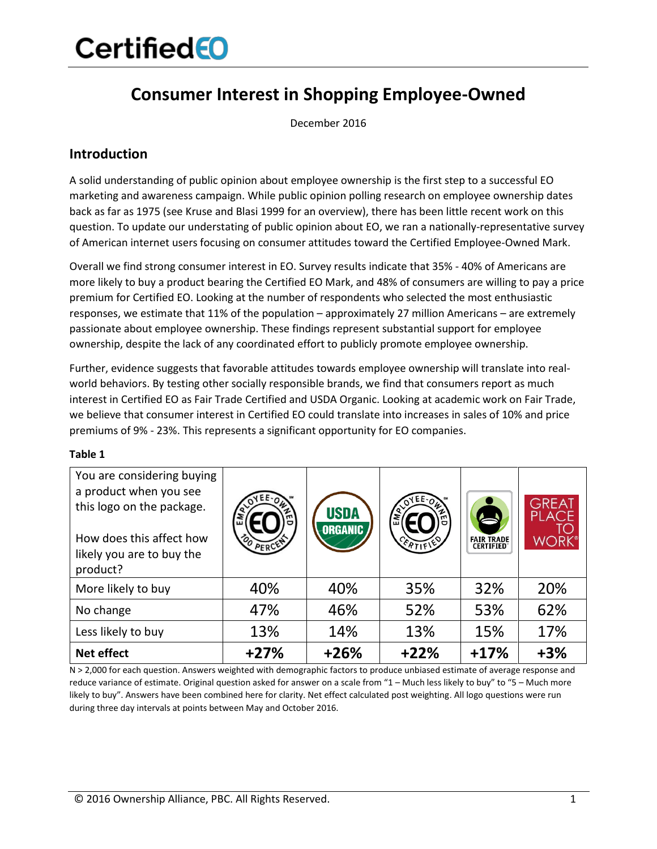## **CertifiedEO**

### **Consumer Interest in Shopping Employee-Owned**

December 2016

### **Introduction**

A solid understanding of public opinion about employee ownership is the first step to a successful EO marketing and awareness campaign. While public opinion polling research on employee ownership dates back as far as 1975 (see Kruse and Blasi 1999 for an overview), there has been little recent work on this question. To update our understating of public opinion about EO, we ran a nationally-representative survey of American internet users focusing on consumer attitudes toward the Certified Employee-Owned Mark.

Overall we find strong consumer interest in EO. Survey results indicate that 35% - 40% of Americans are more likely to buy a product bearing the Certified EO Mark, and 48% of consumers are willing to pay a price premium for Certified EO. Looking at the number of respondents who selected the most enthusiastic responses, we estimate that 11% of the population – approximately 27 million Americans – are extremely passionate about employee ownership. These findings represent substantial support for employee ownership, despite the lack of any coordinated effort to publicly promote employee ownership.

Further, evidence suggests that favorable attitudes towards employee ownership will translate into realworld behaviors. By testing other socially responsible brands, we find that consumers report as much interest in Certified EO as Fair Trade Certified and USDA Organic. Looking at academic work on Fair Trade, we believe that consumer interest in Certified EO could translate into increases in sales of 10% and price premiums of 9% - 23%. This represents a significant opportunity for EO companies.

#### **Table 1**

| You are considering buying<br>a product when you see<br>this logo on the package.<br>How does this affect how<br>likely you are to buy the<br>product? | OO PERCENT | <b>USDA</b><br><b>ORGANIC</b> | o<br><b>CERTIFIED</b> | S<br><b>FAIR TRADE</b><br><b>CERTIFIED</b> | <b>GREAT<br/>PLACE</b><br><b>WORK</b> |
|--------------------------------------------------------------------------------------------------------------------------------------------------------|------------|-------------------------------|-----------------------|--------------------------------------------|---------------------------------------|
| More likely to buy                                                                                                                                     | 40%        | 40%                           | 35%                   | 32%                                        | 20%                                   |
| No change                                                                                                                                              | 47%        | 46%                           | 52%                   | 53%                                        | 62%                                   |
| Less likely to buy                                                                                                                                     | 13%        | 14%                           | 13%                   | 15%                                        | 17%                                   |
| <b>Net effect</b>                                                                                                                                      | $+27%$     | $+26%$                        | $+22%$                | $+17%$                                     | $+3%$                                 |

N > 2,000 for each question. Answers weighted with demographic factors to produce unbiased estimate of average response and reduce variance of estimate. Original question asked for answer on a scale from "1 – Much less likely to buy" to "5 – Much more likely to buy". Answers have been combined here for clarity. Net effect calculated post weighting. All logo questions were run during three day intervals at points between May and October 2016.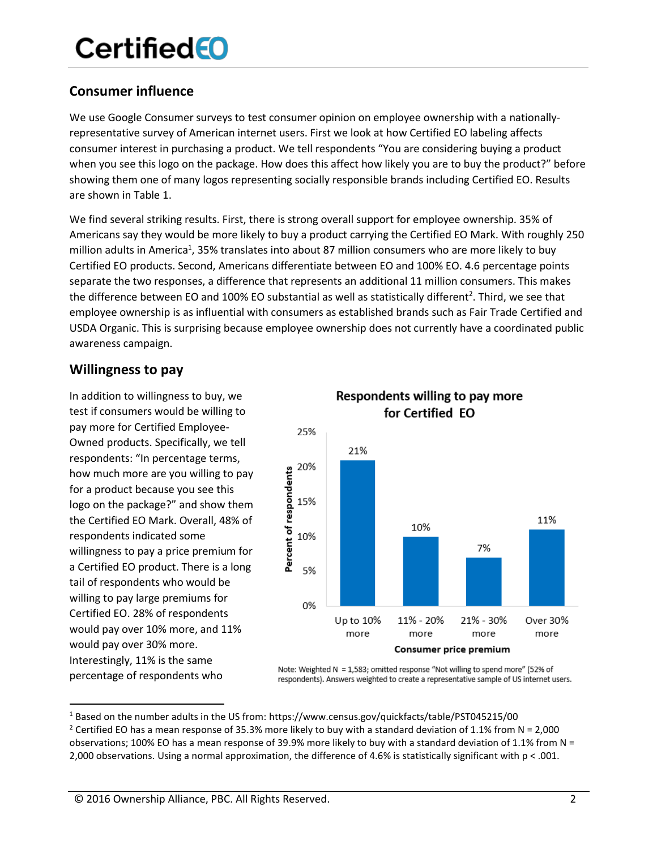## **CertifiedEO**

### **Consumer influence**

We use Google Consumer surveys to test consumer opinion on employee ownership with a nationallyrepresentative survey of American internet users. First we look at how Certified EO labeling affects consumer interest in purchasing a product. We tell respondents "You are considering buying a product when you see this logo on the package. How does this affect how likely you are to buy the product?" before showing them one of many logos representing socially responsible brands including Certified EO. Results are shown in Table 1.

We find several striking results. First, there is strong overall support for employee ownership. 35% of Americans say they would be more likely to buy a product carrying the Certified EO Mark. With roughly 250 million adults in America<sup>1</sup>, 35% translates into about 87 million consumers who are more likely to buy Certified EO products. Second, Americans differentiate between EO and 100% EO. 4.6 percentage points separate the two responses, a difference that represents an additional 11 million consumers. This makes the difference between EO and 100% EO substantial as well as statistically different<sup>2</sup>. Third, we see that employee ownership is as influential with consumers as established brands such as Fair Trade Certified and USDA Organic. This is surprising because employee ownership does not currently have a coordinated public awareness campaign.

### **Willingness to pay**

In addition to willingness to buy, we test if consumers would be willing to pay more for Certified Employee-Owned products. Specifically, we tell respondents: "In percentage terms, how much more are you willing to pay for a product because you see this logo on the package?" and show them the Certified EO Mark. Overall, 48% of respondents indicated some willingness to pay a price premium for a Certified EO product. There is a long tail of respondents who would be willing to pay large premiums for Certified EO. 28% of respondents would pay over 10% more, and 11% would pay over 30% more. Interestingly, 11% is the same percentage of respondents who



Note: Weighted N = 1,583; omitted response "Not willing to spend more" (52% of respondents). Answers weighted to create a representative sample of US internet users.

## Respondents willing to pay more

 <sup>1</sup> Based on the number adults in the US from: https://www.census.gov/quickfacts/table/PST045215/00

<sup>&</sup>lt;sup>2</sup> Certified EO has a mean response of 35.3% more likely to buy with a standard deviation of 1.1% from N = 2,000 observations; 100% EO has a mean response of 39.9% more likely to buy with a standard deviation of 1.1% from N = 2,000 observations. Using a normal approximation, the difference of 4.6% is statistically significant with p < .001.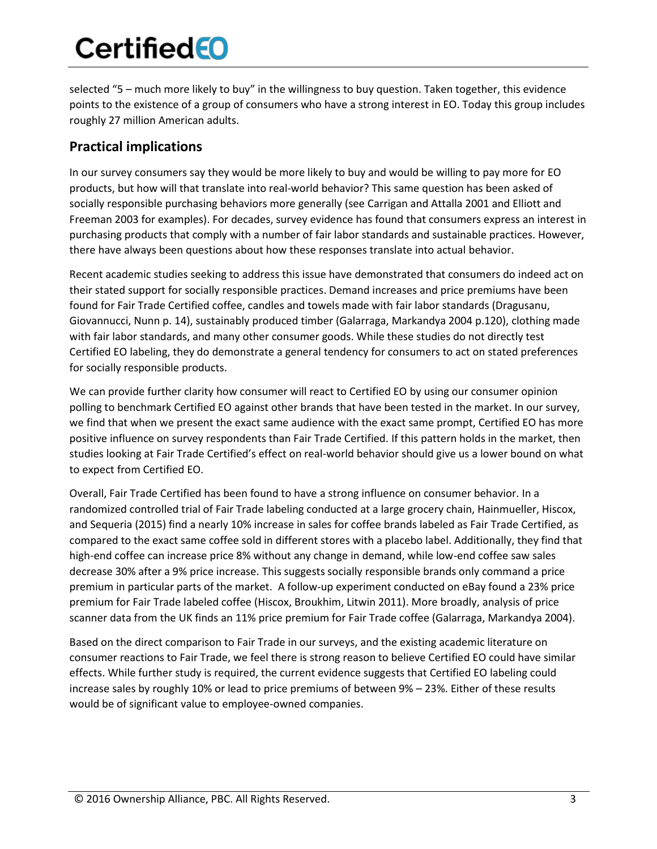# **Certified**

selected "5 – much more likely to buy" in the willingness to buy question. Taken together, this evidence points to the existence of a group of consumers who have a strong interest in EO. Today this group includes roughly 27 million American adults.

### **Practical implications**

In our survey consumers say they would be more likely to buy and would be willing to pay more for EO products, but how will that translate into real-world behavior? This same question has been asked of socially responsible purchasing behaviors more generally (see Carrigan and Attalla 2001 and Elliott and Freeman 2003 for examples). For decades, survey evidence has found that consumers express an interest in purchasing products that comply with a number of fair labor standards and sustainable practices. However, there have always been questions about how these responses translate into actual behavior.

Recent academic studies seeking to address this issue have demonstrated that consumers do indeed act on their stated support for socially responsible practices. Demand increases and price premiums have been found for Fair Trade Certified coffee, candles and towels made with fair labor standards (Dragusanu, Giovannucci, Nunn p. 14), sustainably produced timber (Galarraga, Markandya 2004 p.120), clothing made with fair labor standards, and many other consumer goods. While these studies do not directly test Certified EO labeling, they do demonstrate a general tendency for consumers to act on stated preferences for socially responsible products.

We can provide further clarity how consumer will react to Certified EO by using our consumer opinion polling to benchmark Certified EO against other brands that have been tested in the market. In our survey, we find that when we present the exact same audience with the exact same prompt, Certified EO has more positive influence on survey respondents than Fair Trade Certified. If this pattern holds in the market, then studies looking at Fair Trade Certified's effect on real-world behavior should give us a lower bound on what to expect from Certified EO.

Overall, Fair Trade Certified has been found to have a strong influence on consumer behavior. In a randomized controlled trial of Fair Trade labeling conducted at a large grocery chain, Hainmueller, Hiscox, and Sequeria (2015) find a nearly 10% increase in sales for coffee brands labeled as Fair Trade Certified, as compared to the exact same coffee sold in different stores with a placebo label. Additionally, they find that high-end coffee can increase price 8% without any change in demand, while low-end coffee saw sales decrease 30% after a 9% price increase. This suggests socially responsible brands only command a price premium in particular parts of the market. A follow-up experiment conducted on eBay found a 23% price premium for Fair Trade labeled coffee (Hiscox, Broukhim, Litwin 2011). More broadly, analysis of price scanner data from the UK finds an 11% price premium for Fair Trade coffee (Galarraga, Markandya 2004).

Based on the direct comparison to Fair Trade in our surveys, and the existing academic literature on consumer reactions to Fair Trade, we feel there is strong reason to believe Certified EO could have similar effects. While further study is required, the current evidence suggests that Certified EO labeling could increase sales by roughly 10% or lead to price premiums of between 9% – 23%. Either of these results would be of significant value to employee-owned companies.